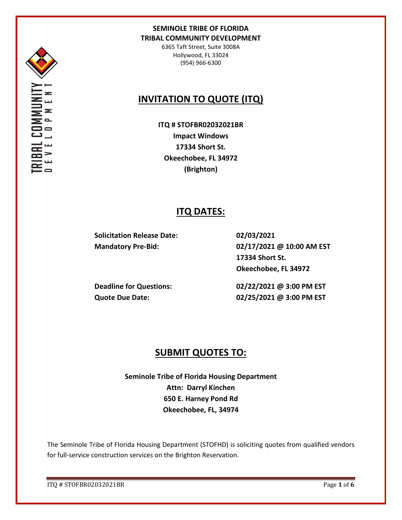

6365 Taft Street, Suite 3008A Hollywood, FL 33024 (954) 966-6300

# **INVITATION TO QUOTE (ITQ)**

**ITQ # STOFBR02032021BR Impact Windows 17334 Short St. Okeechobee, FL 34972 (Brighton)**

## **ITQ DATES:**

**Solicitation Release Date: 02/03/2021**

**Mandatory Pre-Bid: 02/17/2021 @ 10:00 AM EST 17334 Short St. Okeechobee, FL 34972**

**Deadline for Questions: 02/22/2021 @ 3:00 PM EST Quote Due Date: 02/25/2021 @ 3:00 PM EST**

## **SUBMIT QUOTES TO:**

**Seminole Tribe of Florida Housing Department Attn: Darryl Kinchen 650 E. Harney Pond Rd Okeechobee, FL, 34974**

The Seminole Tribe of Florida Housing Department (STOFHD) is soliciting quotes from qualified vendors for full-service construction services on the Brighton Reservation.

ITQ # STOFBR02032021BR Page **1** of **6**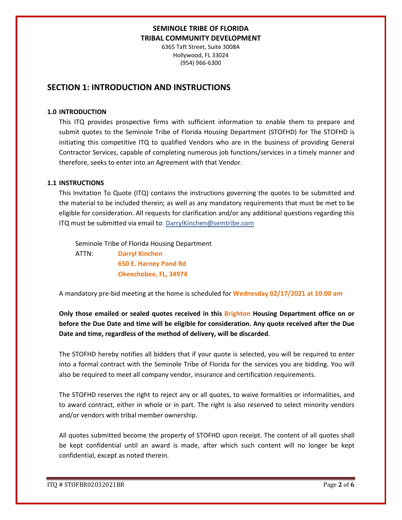6365 Taft Street, Suite 3008A Hollywood, FL 33024 (954) 966-6300

## **SECTION 1: INTRODUCTION AND INSTRUCTIONS**

#### **1.0 INTRODUCTION**

This ITQ provides prospective firms with sufficient information to enable them to prepare and submit quotes to the Seminole Tribe of Florida Housing Department (STOFHD) for The STOFHD is initiating this competitive ITQ to qualified Vendors who are in the business of providing General Contractor Services, capable of completing numerous job functions/services in a timely manner and therefore, seeks to enter into an Agreement with that Vendor.

#### **1.1 INSTRUCTIONS**

This Invitation To Quote (ITQ) contains the instructions governing the quotes to be submitted and the material to be included therein; as well as any mandatory requirements that must be met to be eligible for consideration. All requests for clarification and/or any additional questions regarding this ITQ must be submitted via email to: DarrylKinchen@semtribe.com

 Seminole Tribe of Florida Housing Department ATTN: **Darryl Kinchen**

 **650 E. Harney Pond Rd Okeechobee, FL, 34974**

A mandatory pre-bid meeting at the home is scheduled for **Wednesday 02/17/2021 at 10:00 am**

**Only those emailed or sealed quotes received in this Brighton Housing Department office on or before the Due Date and time will be eligible for consideration. Any quote received after the Due Date and time, regardless of the method of delivery, will be discarded**.

The STOFHD hereby notifies all bidders that if your quote is selected, you will be required to enter into a formal contract with the Seminole Tribe of Florida for the services you are bidding. You will also be required to meet all company vendor, insurance and certification requirements.

The STOFHD reserves the right to reject any or all quotes, to waive formalities or informalities, and to award contract, either in whole or in part. The right is also reserved to select minority vendors and/or vendors with tribal member ownership.

All quotes submitted become the property of STOFHD upon receipt. The content of all quotes shall be kept confidential until an award is made, after which such content will no longer be kept confidential, except as noted therein.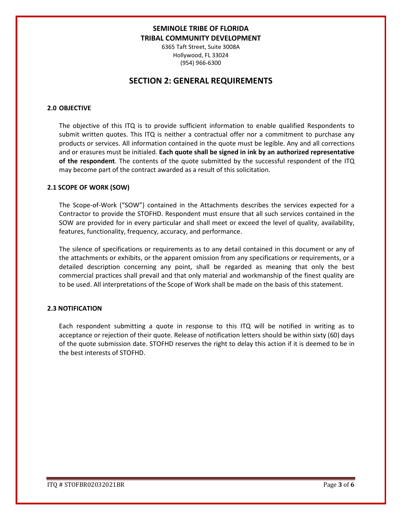6365 Taft Street, Suite 3008A Hollywood, FL 33024 (954) 966-6300

## **SECTION 2: GENERAL REQUIREMENTS**

#### **2.0 OBJECTIVE**

The objective of this ITQ is to provide sufficient information to enable qualified Respondents to submit written quotes. This ITQ is neither a contractual offer nor a commitment to purchase any products or services. All information contained in the quote must be legible. Any and all corrections and or erasures must be initialed. **Each quote shall be signed in ink by an authorized representative of the respondent**. The contents of the quote submitted by the successful respondent of the ITQ may become part of the contract awarded as a result of this solicitation.

#### **2.1 SCOPE OF WORK (SOW)**

The Scope-of-Work ("SOW") contained in the Attachments describes the services expected for a Contractor to provide the STOFHD. Respondent must ensure that all such services contained in the SOW are provided for in every particular and shall meet or exceed the level of quality, availability, features, functionality, frequency, accuracy, and performance.

The silence of specifications or requirements as to any detail contained in this document or any of the attachments or exhibits, or the apparent omission from any specifications or requirements, or a detailed description concerning any point, shall be regarded as meaning that only the best commercial practices shall prevail and that only material and workmanship of the finest quality are to be used. All interpretations of the Scope of Work shall be made on the basis of this statement.

#### **2.3 NOTIFICATION**

Each respondent submitting a quote in response to this ITQ will be notified in writing as to acceptance or rejection of their quote. Release of notification letters should be within sixty (60) days of the quote submission date. STOFHD reserves the right to delay this action if it is deemed to be in the best interests of STOFHD.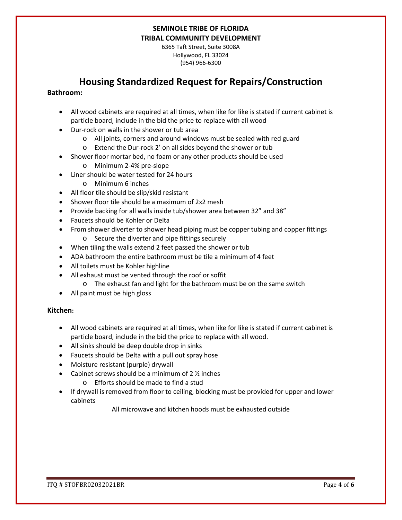6365 Taft Street, Suite 3008A Hollywood, FL 33024 (954) 966-6300

## **Housing Standardized Request for Repairs/Construction**

#### **Bathroom:**

- All wood cabinets are required at all times, when like for like is stated if current cabinet is particle board, include in the bid the price to replace with all wood
- Dur-rock on walls in the shower or tub area
	- o All joints, corners and around windows must be sealed with red guard
	- o Extend the Dur-rock 2' on all sides beyond the shower or tub
- Shower floor mortar bed, no foam or any other products should be used
	- o Minimum 2-4% pre-slope
- Liner should be water tested for 24 hours
	- o Minimum 6 inches
- All floor tile should be slip/skid resistant
- Shower floor tile should be a maximum of 2x2 mesh
- Provide backing for all walls inside tub/shower area between 32" and 38"
- Faucets should be Kohler or Delta
- From shower diverter to shower head piping must be copper tubing and copper fittings o Secure the diverter and pipe fittings securely
- When tiling the walls extend 2 feet passed the shower or tub
- ADA bathroom the entire bathroom must be tile a minimum of 4 feet
- All toilets must be Kohler highline
- All exhaust must be vented through the roof or soffit
	- o The exhaust fan and light for the bathroom must be on the same switch
- All paint must be high gloss

#### **Kitchen:**

- All wood cabinets are required at all times, when like for like is stated if current cabinet is particle board, include in the bid the price to replace with all wood.
- All sinks should be deep double drop in sinks
- Faucets should be Delta with a pull out spray hose
- Moisture resistant (purple) drywall
- Cabinet screws should be a minimum of  $2 \frac{1}{2}$  inches
	- o Efforts should be made to find a stud
- If drywall is removed from floor to ceiling, blocking must be provided for upper and lower cabinets

All microwave and kitchen hoods must be exhausted outside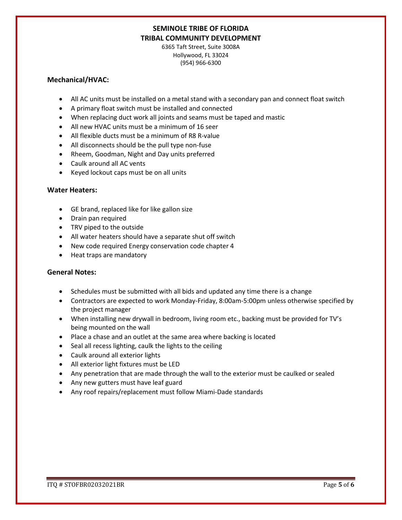6365 Taft Street, Suite 3008A Hollywood, FL 33024 (954) 966-6300

#### **Mechanical/HVAC:**

- All AC units must be installed on a metal stand with a secondary pan and connect float switch
- A primary float switch must be installed and connected
- When replacing duct work all joints and seams must be taped and mastic
- All new HVAC units must be a minimum of 16 seer
- All flexible ducts must be a minimum of R8 R-value
- All disconnects should be the pull type non-fuse
- Rheem, Goodman, Night and Day units preferred
- Caulk around all AC vents
- Keyed lockout caps must be on all units

#### **Water Heaters:**

- GE brand, replaced like for like gallon size
- Drain pan required
- TRV piped to the outside
- All water heaters should have a separate shut off switch
- New code required Energy conservation code chapter 4
- Heat traps are mandatory

#### **General Notes:**

- Schedules must be submitted with all bids and updated any time there is a change
- Contractors are expected to work Monday-Friday, 8:00am-5:00pm unless otherwise specified by the project manager
- When installing new drywall in bedroom, living room etc., backing must be provided for TV's being mounted on the wall
- Place a chase and an outlet at the same area where backing is located
- Seal all recess lighting, caulk the lights to the ceiling
- Caulk around all exterior lights
- All exterior light fixtures must be LED
- Any penetration that are made through the wall to the exterior must be caulked or sealed
- Any new gutters must have leaf guard
- Any roof repairs/replacement must follow Miami-Dade standards